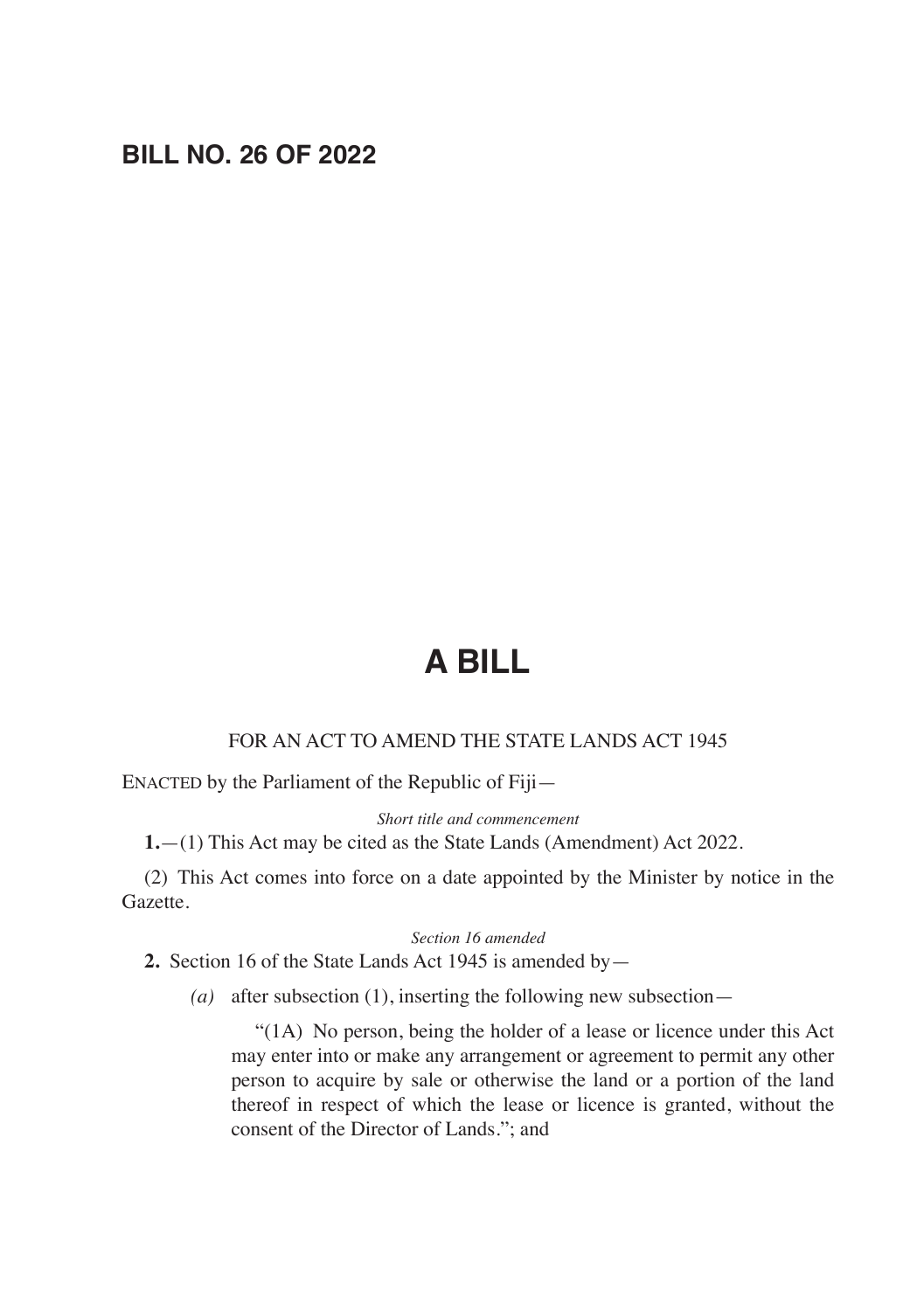# **BILL NO. 26 OF 2022**

# **A BILL**

#### FOR AN ACT TO AMEND THE STATE LANDS ACT 1945

ENACTED by the Parliament of the Republic of Fiji—

*Short title and commencement*

**1.**—(1) This Act may be cited as the State Lands (Amendment) Act 2022.

(2) This Act comes into force on a date appointed by the Minister by notice in the Gazette.

#### *Section 16 amended*

**2.** Section 16 of the State Lands Act 1945 is amended by—

*(a)* after subsection (1), inserting the following new subsection—

 "(1A) No person, being the holder of a lease or licence under this Act may enter into or make any arrangement or agreement to permit any other person to acquire by sale or otherwise the land or a portion of the land thereof in respect of which the lease or licence is granted, without the consent of the Director of Lands."; and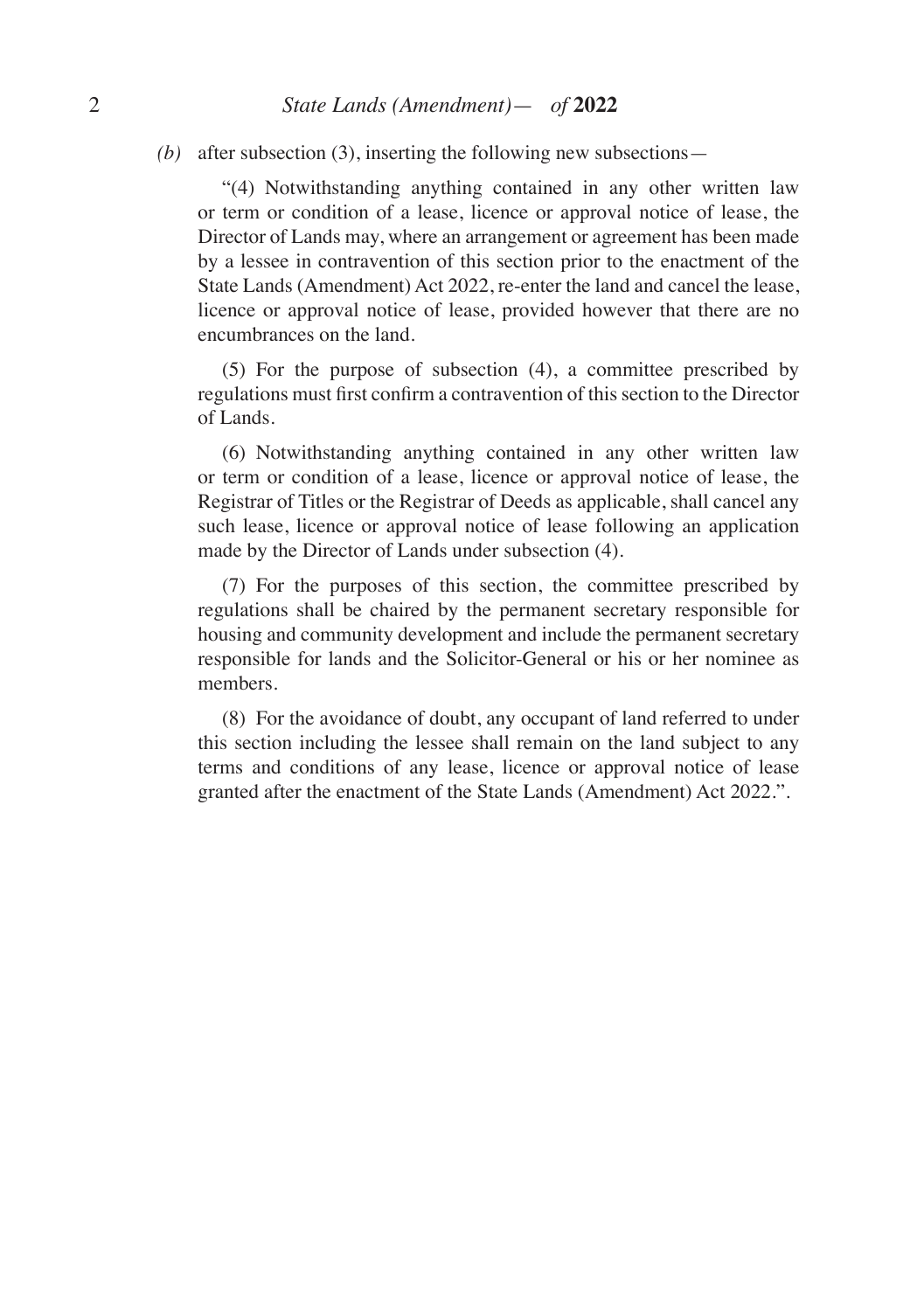*(b)* after subsection (3), inserting the following new subsections—

 "(4) Notwithstanding anything contained in any other written law or term or condition of a lease, licence or approval notice of lease, the Director of Lands may, where an arrangement or agreement has been made by a lessee in contravention of this section prior to the enactment of the State Lands (Amendment) Act 2022, re-enter the land and cancel the lease, licence or approval notice of lease, provided however that there are no encumbrances on the land.

 (5) For the purpose of subsection (4), a committee prescribed by regulations must first confirm a contravention of this section to the Director of Lands.

 (6) Notwithstanding anything contained in any other written law or term or condition of a lease, licence or approval notice of lease, the Registrar of Titles or the Registrar of Deeds as applicable, shall cancel any such lease, licence or approval notice of lease following an application made by the Director of Lands under subsection (4).

 (7) For the purposes of this section, the committee prescribed by regulations shall be chaired by the permanent secretary responsible for housing and community development and include the permanent secretary responsible for lands and the Solicitor-General or his or her nominee as members.

 (8) For the avoidance of doubt, any occupant of land referred to under this section including the lessee shall remain on the land subject to any terms and conditions of any lease, licence or approval notice of lease granted after the enactment of the State Lands (Amendment) Act 2022.".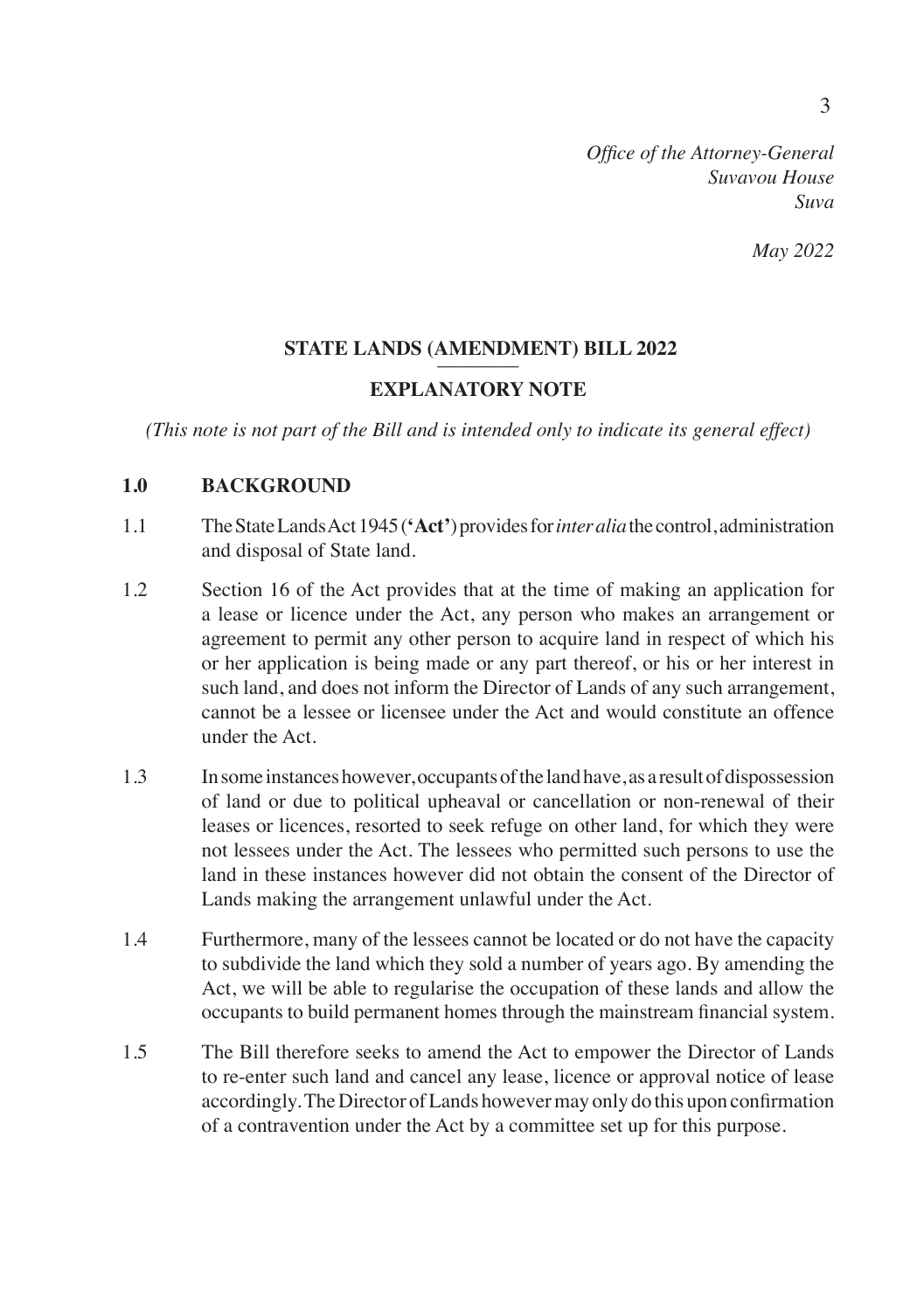*May 2022*

#### **STATE LANDS (AMENDMENT) BILL 2022**

#### **EXPLANATORY NOTE**

*(This note is not part of the Bill and is intended only to indicate its general effect)*

#### **1.0 BACKGROUND**

- 1.1 The State Lands Act 1945 (**'Act'**) provides for *inter alia* the control, administration and disposal of State land.
- 1.2 Section 16 of the Act provides that at the time of making an application for a lease or licence under the Act, any person who makes an arrangement or agreement to permit any other person to acquire land in respect of which his or her application is being made or any part thereof, or his or her interest in such land, and does not inform the Director of Lands of any such arrangement, cannot be a lessee or licensee under the Act and would constitute an offence under the Act.
- 1.3 In some instances however, occupants of the land have, as a result of dispossession of land or due to political upheaval or cancellation or non-renewal of their leases or licences, resorted to seek refuge on other land, for which they were not lessees under the Act. The lessees who permitted such persons to use the land in these instances however did not obtain the consent of the Director of Lands making the arrangement unlawful under the Act.
- 1.4 Furthermore, many of the lessees cannot be located or do not have the capacity to subdivide the land which they sold a number of years ago. By amending the Act, we will be able to regularise the occupation of these lands and allow the occupants to build permanent homes through the mainstream financial system.
- 1.5 The Bill therefore seeks to amend the Act to empower the Director of Lands to re-enter such land and cancel any lease, licence or approval notice of lease accordingly. The Director of Lands however may only do this upon confirmation of a contravention under the Act by a committee set up for this purpose.